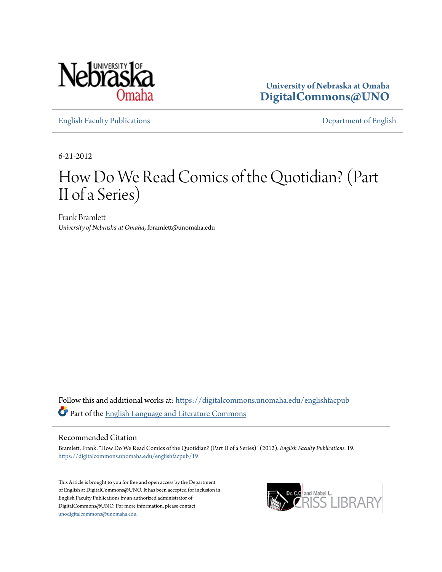

**University of Nebraska at Omaha [DigitalCommons@UNO](https://digitalcommons.unomaha.edu?utm_source=digitalcommons.unomaha.edu%2Fenglishfacpub%2F19&utm_medium=PDF&utm_campaign=PDFCoverPages)**

[English Faculty Publications](https://digitalcommons.unomaha.edu/englishfacpub?utm_source=digitalcommons.unomaha.edu%2Fenglishfacpub%2F19&utm_medium=PDF&utm_campaign=PDFCoverPages) [Department of English](https://digitalcommons.unomaha.edu/english?utm_source=digitalcommons.unomaha.edu%2Fenglishfacpub%2F19&utm_medium=PDF&utm_campaign=PDFCoverPages)

6-21-2012

## How Do We Read Comics of the Quotidian? (Part II of a Series)

Frank Bramlett *University of Nebraska at Omaha*, fbramlett@unomaha.edu

Follow this and additional works at: [https://digitalcommons.unomaha.edu/englishfacpub](https://digitalcommons.unomaha.edu/englishfacpub?utm_source=digitalcommons.unomaha.edu%2Fenglishfacpub%2F19&utm_medium=PDF&utm_campaign=PDFCoverPages) Part of the [English Language and Literature Commons](http://network.bepress.com/hgg/discipline/455?utm_source=digitalcommons.unomaha.edu%2Fenglishfacpub%2F19&utm_medium=PDF&utm_campaign=PDFCoverPages)

#### Recommended Citation

Bramlett, Frank, "How Do We Read Comics of the Quotidian? (Part II of a Series)" (2012). *English Faculty Publications*. 19. [https://digitalcommons.unomaha.edu/englishfacpub/19](https://digitalcommons.unomaha.edu/englishfacpub/19?utm_source=digitalcommons.unomaha.edu%2Fenglishfacpub%2F19&utm_medium=PDF&utm_campaign=PDFCoverPages)

This Article is brought to you for free and open access by the Department of English at DigitalCommons@UNO. It has been accepted for inclusion in English Faculty Publications by an authorized administrator of DigitalCommons@UNO. For more information, please contact [unodigitalcommons@unomaha.edu](mailto:unodigitalcommons@unomaha.edu).

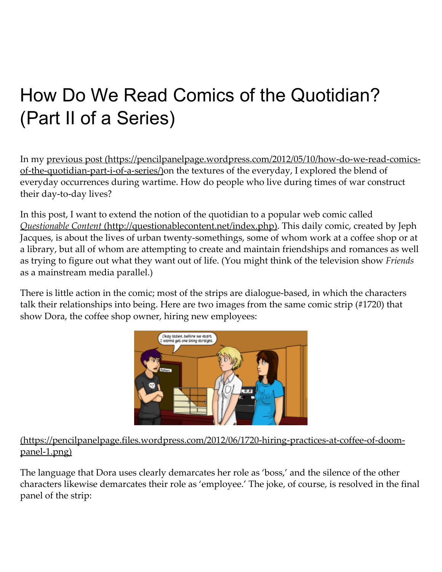# How Do We Read Comics of the Quotidian? (Part II of a Series)

In my previous post (https://pencilpanelpage.wordpress.com/2012/05/10/how-do-we-read-comicsof-the-quotidian-part-i-of-a-series/)on the textures of the everyday, I explored the blend of everyday occurrences during wartime. How do people who live during times of war construct their day-to-day lives?

In this post, I want to extend the notion of the quotidian to a popular web comic called Questionable Content [\(http://questionablecontent.net/index.php\).](http://questionablecontent.net/index.php) This daily comic, created by Jeph Jacques, is about the lives of urban twenty‑somethings, some of whom work at a coffee shop or at a library, but all of whom are attempting to create and maintain friendships and romances as well as trying to figure out what they want out of life. (You might think of the television show Friends as a mainstream media parallel.)

There is little action in the comic; most of the strips are dialogue-based, in which the characters talk their relationships into being. Here are two images from the same comic strip (#1720) that show Dora, the coffee shop owner, hiring new employees:



#### (https://pencilpanelpage.files.wordpress.com/2012/06/1720‑hiring‑practices‑at‑coffee‑of‑doom‑ panel-1.png)

The language that Dora uses clearly demarcates her role as 'boss,' and the silence of the other characters likewise demarcates their role as 'employee.' The joke, of course, is resolved in the final panel of the strip: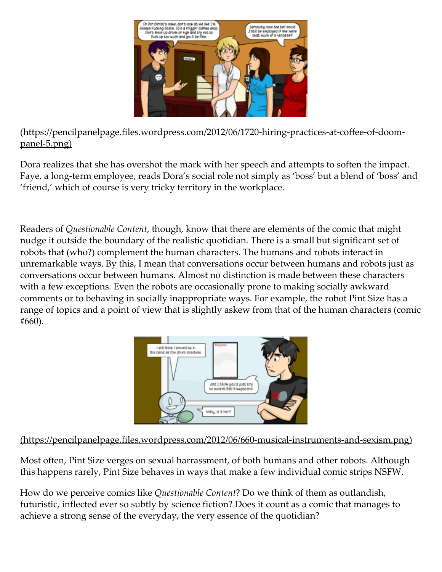

#### (https://pencilpanelpage.files.wordpress.com/2012/06/1720‑hiring‑practices‑at‑coffee‑of‑doom‑ panel-5.png)

Dora realizes that she has overshot the mark with her speech and attempts to soften the impact. Faye, a long-term employee, reads Dora's social role not simply as 'boss' but a blend of 'boss' and 'friend,' which of course is very tricky territory in the workplace.

Readers of Questionable Content, though, know that there are elements of the comic that might nudge it outside the boundary of the realistic quotidian. There is a small but significant set of robots that (who?) complement the human characters. The humans and robots interact in unremarkable ways. By this, I mean that conversations occur between humans and robots just as conversations occur between humans. Almost no distinction is made between these characters with a few exceptions. Even the robots are occasionally prone to making socially awkward comments or to behaving in socially inappropriate ways. For example, the robot Pint Size has a range of topics and a point of view that is slightly askew from that of the human characters (comic #660).



(https://pencilpanelpage.files.wordpress.com/2012/06/660‑musical‑instruments‑and‑sexism.png)

Most often, Pint Size verges on sexual harrassment, of both humans and other robots. Although this happens rarely, Pint Size behaves in ways that make a few individual comic strips NSFW.

How do we perceive comics like Questionable Content? Do we think of them as outlandish, futuristic, inflected ever so subtly by science fiction? Does it count as a comic that manages to achieve a strong sense of the everyday, the very essence of the quotidian?